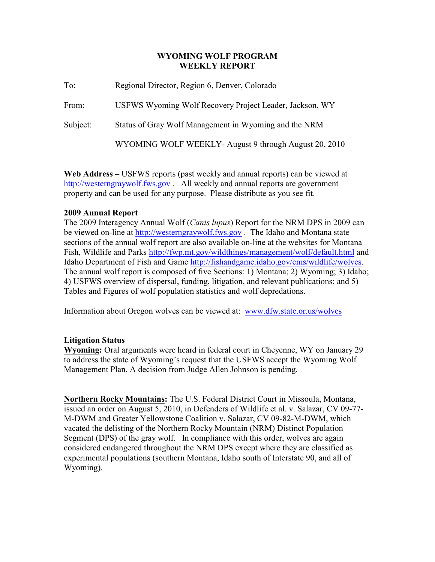## **WYOMING WOLF PROGRAM WEEKLY REPORT**

To: Regional Director, Region 6, Denver, Colorado From: USFWS Wyoming Wolf Recovery Project Leader, Jackson, WY Subject: Status of Gray Wolf Management in Wyoming and the NRM WYOMING WOLF WEEKLY- August 9 through August 20, 2010

**Web Address –** USFWS reports (past weekly and annual reports) can be viewed at <http://westerngraywolf.fws.gov> . All weekly and annual reports are government property and can be used for any purpose. Please distribute as you see fit.

# **2009 Annual Report**

The 2009 Interagency Annual Wolf (*Canis lupus*) Report for the NRM DPS in 2009 can be viewed on-line at<http://westerngraywolf.fws.gov>. The Idaho and Montana state sections of the annual wolf report are also available on-line at the websites for Montana Fish, Wildlife and Parks<http://fwp.mt.gov/wildthings/management/wolf/default.html> and Idaho Department of Fish and Game <http://fishandgame.idaho.gov/cms/wildlife/wolves>. The annual wolf report is composed of five Sections: 1) Montana; 2) Wyoming; 3) Idaho; 4) USFWS overview of dispersal, funding, litigation, and relevant publications; and 5) Tables and Figures of wolf population statistics and wolf depredations.

Information about Oregon wolves can be viewed at: www.dfw.state.or.us/wolves

# **Litigation Status**

**Wyoming:** Oral arguments were heard in federal court in Cheyenne, WY on January 29 to address the state of Wyoming's request that the USFWS accept the Wyoming Wolf Management Plan. A decision from Judge Allen Johnson is pending.

**Northern Rocky Mountains:** The U.S. Federal District Court in Missoula, Montana, issued an order on August 5, 2010, in Defenders of Wildlife et al. v. Salazar, CV 09-77- M-DWM and Greater Yellowstone Coalition v. Salazar, CV 09-82-M-DWM, which vacated the delisting of the Northern Rocky Mountain (NRM) Distinct Population Segment (DPS) of the gray wolf. In compliance with this order, wolves are again considered endangered throughout the NRM DPS except where they are classified as experimental populations (southern Montana, Idaho south of Interstate 90, and all of Wyoming).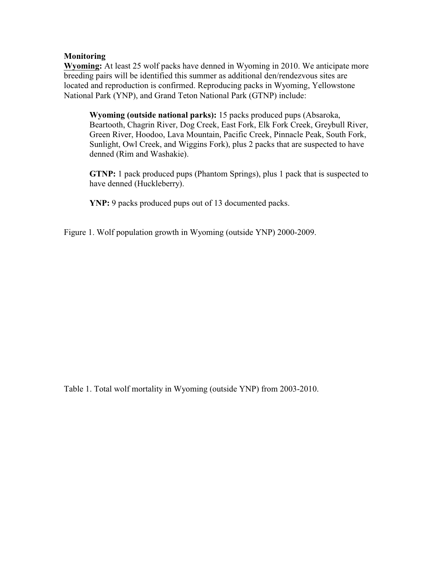# **Monitoring**

**Wyoming:** At least 25 wolf packs have denned in Wyoming in 2010. We anticipate more breeding pairs will be identified this summer as additional den/rendezvous sites are located and reproduction is confirmed. Reproducing packs in Wyoming, Yellowstone National Park (YNP), and Grand Teton National Park (GTNP) include:

**Wyoming (outside national parks):** 15 packs produced pups (Absaroka, Beartooth, Chagrin River, Dog Creek, East Fork, Elk Fork Creek, Greybull River, Green River, Hoodoo, Lava Mountain, Pacific Creek, Pinnacle Peak, South Fork, Sunlight, Owl Creek, and Wiggins Fork), plus 2 packs that are suspected to have denned (Rim and Washakie).

**GTNP:** 1 pack produced pups (Phantom Springs), plus 1 pack that is suspected to have denned (Huckleberry).

**YNP:** 9 packs produced pups out of 13 documented packs.

Figure 1. Wolf population growth in Wyoming (outside YNP) 2000-2009.

Table 1. Total wolf mortality in Wyoming (outside YNP) from 2003-2010.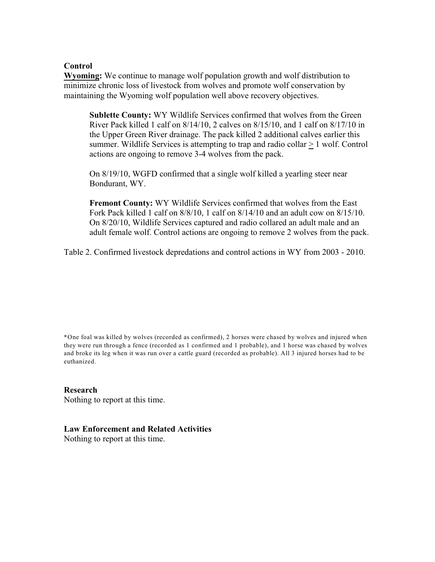### **Control**

**Wyoming:** We continue to manage wolf population growth and wolf distribution to minimize chronic loss of livestock from wolves and promote wolf conservation by maintaining the Wyoming wolf population well above recovery objectives.

**Sublette County:** WY Wildlife Services confirmed that wolves from the Green River Pack killed 1 calf on 8/14/10, 2 calves on 8/15/10, and 1 calf on 8/17/10 in the Upper Green River drainage. The pack killed 2 additional calves earlier this summer. Wildlife Services is attempting to trap and radio collar  $> 1$  wolf. Control actions are ongoing to remove 3-4 wolves from the pack.

On 8/19/10, WGFD confirmed that a single wolf killed a yearling steer near Bondurant, WY.

**Fremont County:** WY Wildlife Services confirmed that wolves from the East Fork Pack killed 1 calf on  $8/8/10$ , 1 calf on  $8/14/10$  and an adult cow on  $8/15/10$ . On 8/20/10, Wildlife Services captured and radio collared an adult male and an adult female wolf. Control actions are ongoing to remove 2 wolves from the pack.

Table 2. Confirmed livestock depredations and control actions in WY from 2003 - 2010.

**\***One foal was killed by wolves (recorded as confirmed), 2 horses were chased by wolves and injured when they were run through a fence (recorded as 1 confirmed and 1 probable), and 1 horse was chased by wolves and broke its leg when it was run over a cattle guard (recorded as probable). All 3 injured horses had to be euthanized.

#### **Research**

Nothing to report at this time.

#### **Law Enforcement and Related Activities**

Nothing to report at this time.